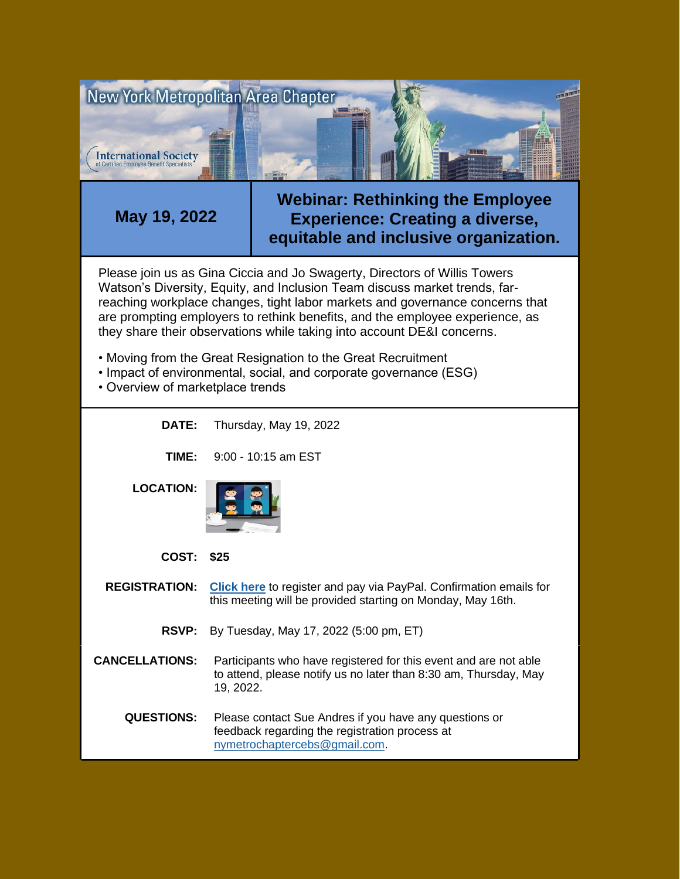